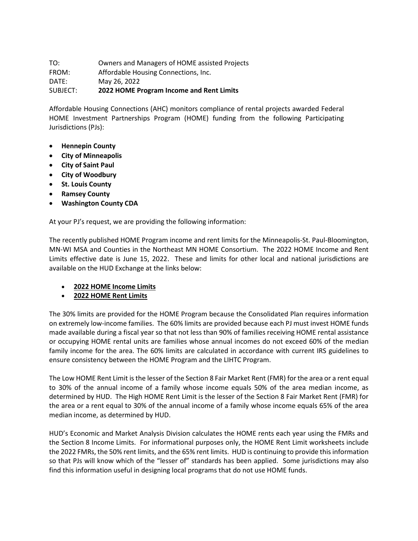TO: Owners and Managers of HOME assisted Projects FROM: Affordable Housing Connections, Inc. DATE: May 26, 2022 SUBJECT: **2022 HOME Program Income and Rent Limits**

Affordable Housing Connections (AHC) monitors compliance of rental projects awarded Federal HOME Investment Partnerships Program (HOME) funding from the following Participating Jurisdictions (PJs):

- **Hennepin County**
- **City of Minneapolis**
- **City of Saint Paul**
- **City of Woodbury**
- **St. Louis County**
- **Ramsey County**
- **Washington County CDA**

At your PJ's request, we are providing the following information:

The recently published HOME Program income and rent limits for the Minneapolis-St. Paul-Bloomington, MN-WI MSA and Counties in the Northeast MN HOME Consortium. The 2022 HOME Income and Rent Limits effective date is June 15, 2022. These and limits for other local and national jurisdictions are available on the HUD Exchange at the links below:

- **[2022 HOME Income Limits](https://www.hudexchange.info/programs/home/home-income-limits/)**
- **[2022 HOME Rent Limits](https://www.hudexchange.info/programs/home/home-rent-limits/)**

The 30% limits are provided for the HOME Program because the Consolidated Plan requires information on extremely low-income families. The 60% limits are provided because each PJ must invest HOME funds made available during a fiscal year so that not less than 90% of families receiving HOME rental assistance or occupying HOME rental units are families whose annual incomes do not exceed 60% of the median family income for the area. The 60% limits are calculated in accordance with current IRS guidelines to ensure consistency between the HOME Program and the LIHTC Program.

The Low HOME Rent Limit is the lesser of the Section 8 Fair Market Rent (FMR) for the area or a rent equal to 30% of the annual income of a family whose income equals 50% of the area median income, as determined by HUD. The High HOME Rent Limit is the lesser of the Section 8 Fair Market Rent (FMR) for the area or a rent equal to 30% of the annual income of a family whose income equals 65% of the area median income, as determined by HUD.

HUD's Economic and Market Analysis Division calculates the HOME rents each year using the FMRs and the Section 8 Income Limits. For informational purposes only, the HOME Rent Limit worksheets include the 2022 FMRs, the 50% rent limits, and the 65% rent limits. HUD is continuing to provide this information so that PJs will know which of the "lesser of" standards has been applied. Some jurisdictions may also find this information useful in designing local programs that do not use HOME funds.